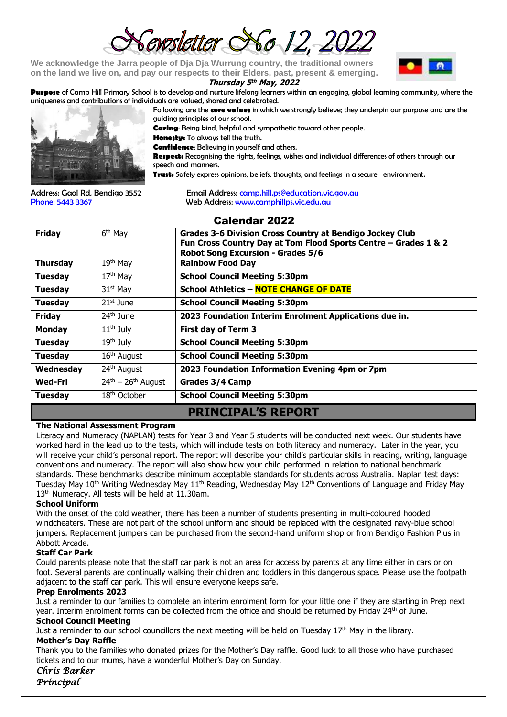$\epsilon$ wsletter  $\propto$ 6 12, 20

**We acknowledge the Jarra people of Dja Dja Wurrung country, the traditional owners on the land we live on, and pay our respects to their Elders, past, present & emerging.** 

#### **Thursday 5 th May, 2022**

**Purpose** of Camp Hill Primary School is to develop and nurture lifelong learners within an engaging, global learning community, where the uniqueness and contributions of individuals are valued, shared and celebrated.

Amarach.

Following are the **core values** in which we strongly believe; they underpin our purpose and are the guiding principles of our school.

**Caring**: Being kind, helpful and sympathetic toward other people.

**Honesty:** To always tell the truth.

**Confidence**: Believing in yourself and others.

**Respect:** Recognising the rights, feelings, wishes and individual differences of others through our speech and manners.

**Trust:** Safely express opinions, beliefs, thoughts, and feelings in a secure environment.

Address: Gaol Rd, Bendigo 3552 Email Address: [camp.hill.ps@education.vic.gov.au](mailto:camp.hill.ps@education.vic.gov.au) Phone: 5443 3367 Web Address: [www.camphillps.vic.edu.au](http://www.camphillps.vic.edu.au/)

| <b>Calendar 2022</b>      |                          |                                                                                                                                    |  |  |  |
|---------------------------|--------------------------|------------------------------------------------------------------------------------------------------------------------------------|--|--|--|
| <b>Friday</b>             | 6 <sup>th</sup> May      | <b>Grades 3-6 Division Cross Country at Bendigo Jockey Club</b><br>Fun Cross Country Day at Tom Flood Sports Centre - Grades 1 & 2 |  |  |  |
|                           |                          | <b>Robot Song Excursion - Grades 5/6</b>                                                                                           |  |  |  |
| <b>Thursday</b>           | 19th May                 | <b>Rainbow Food Day</b>                                                                                                            |  |  |  |
| <b>Tuesday</b>            | 17 <sup>th</sup> May     | <b>School Council Meeting 5:30pm</b>                                                                                               |  |  |  |
| <b>Tuesday</b>            | $31st$ May               | <b>School Athletics - NOTE CHANGE OF DATE</b>                                                                                      |  |  |  |
| <b>Tuesday</b>            | $21st$ June              | <b>School Council Meeting 5:30pm</b>                                                                                               |  |  |  |
| <b>Friday</b>             | $24th$ June              | 2023 Foundation Interim Enrolment Applications due in.                                                                             |  |  |  |
| <b>Monday</b>             | $11th$ July              | <b>First day of Term 3</b>                                                                                                         |  |  |  |
| <b>Tuesday</b>            | 19 <sup>th</sup> July    | <b>School Council Meeting 5:30pm</b>                                                                                               |  |  |  |
| <b>Tuesday</b>            | $16th$ August            | <b>School Council Meeting 5:30pm</b>                                                                                               |  |  |  |
| Wednesday                 | 24 <sup>th</sup> August  | 2023 Foundation Information Evening 4pm or 7pm                                                                                     |  |  |  |
| Wed-Fri                   | $24th - 26th$ August     | Grades 3/4 Camp                                                                                                                    |  |  |  |
| <b>Tuesday</b>            | 18 <sup>th</sup> October | <b>School Council Meeting 5:30pm</b>                                                                                               |  |  |  |
| <b>PRINCIPAL'S REPORT</b> |                          |                                                                                                                                    |  |  |  |

#### **The National Assessment Program**

Literacy and Numeracy (NAPLAN) tests for Year 3 and Year 5 students will be conducted next week. Our students have worked hard in the lead up to the tests, which will include tests on both literacy and numeracy. Later in the year, you will receive your child's personal report. The report will describe your child's particular skills in reading, writing, language conventions and numeracy. The report will also show how your child performed in relation to national benchmark standards. These benchmarks describe minimum acceptable standards for students across Australia. Naplan test days: Tuesday May 10<sup>th</sup> Writing Wednesday May 11<sup>th</sup> Reading, Wednesday May 12<sup>th</sup> Conventions of Language and Friday May 13<sup>th</sup> Numeracy. All tests will be held at 11.30am.

#### **School Uniform**

With the onset of the cold weather, there has been a number of students presenting in multi-coloured hooded windcheaters. These are not part of the school uniform and should be replaced with the designated navy-blue school jumpers. Replacement jumpers can be purchased from the second-hand uniform shop or from Bendigo Fashion Plus in Abbott Arcade.

#### **Staff Car Park**

Could parents please note that the staff car park is not an area for access by parents at any time either in cars or on foot. Several parents are continually walking their children and toddlers in this dangerous space. Please use the footpath adjacent to the staff car park. This will ensure everyone keeps safe.

#### **Prep Enrolments 2023**

Just a reminder to our families to complete an interim enrolment form for your little one if they are starting in Prep next year. Interim enrolment forms can be collected from the office and should be returned by Friday 24<sup>th</sup> of June.

#### **School Council Meeting**

Just a reminder to our school councillors the next meeting will be held on Tuesday  $17<sup>th</sup>$  May in the library.

#### **Mother's Day Raffle**

Thank you to the families who donated prizes for the Mother's Day raffle. Good luck to all those who have purchased tickets and to our mums, have a wonderful Mother's Day on Sunday.

# *Chris Barker*

*Principal*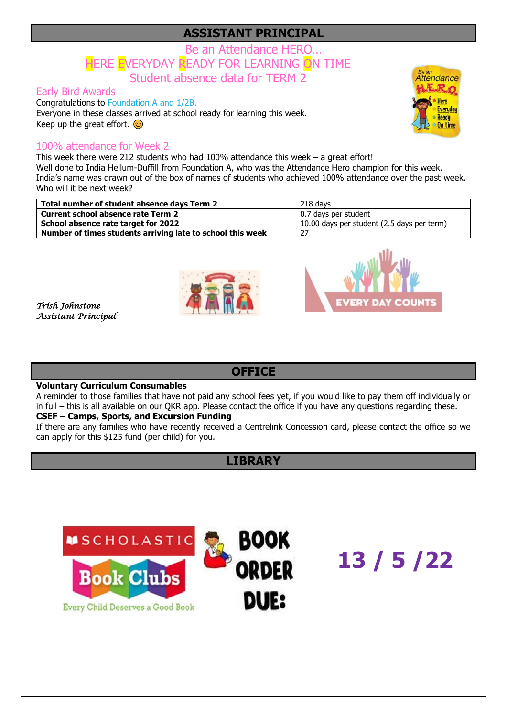# **ASSISTANT PRINCIPAL**

# Be an Attendance HERO… **HERE EVERYDAY READY FOR LEARNING ON TIME** Student absence data for TERM 2

# Early Bird Awards

Congratulations to Foundation A and 1/2B. Everyone in these classes arrived at school ready for learning this week. Keep up the great effort.  $\odot$ 

# 100% attendance for Week 2

This week there were 212 students who had 100% attendance this week – a great effort! Well done to India Hellum-Duffill from Foundation A, who was the Attendance Hero champion for this week. India's name was drawn out of the box of names of students who achieved 100% attendance over the past week. Who will it be next week?

| Total number of student absence days Term 2                | 218 days                                   |  |
|------------------------------------------------------------|--------------------------------------------|--|
| <b>Current school absence rate Term 2</b>                  | 0.7 days per student                       |  |
| School absence rate target for 2022                        | 10.00 days per student (2.5 days per term) |  |
| Number of times students arriving late to school this week | 27                                         |  |





*Trish Johnstone Assistant Principal* 

# **OFFICE**

### **Voluntary Curriculum Consumables**

A reminder to those families that have not paid any school fees yet, if you would like to pay them off individually or in full – this is all available on our QKR app. Please contact the office if you have any questions regarding these.

# **CSEF – Camps, Sports, and Excursion Funding**

If there are any families who have recently received a Centrelink Concession card, please contact the office so we can apply for this \$125 fund (per child) for you.

# **LIBRARY**



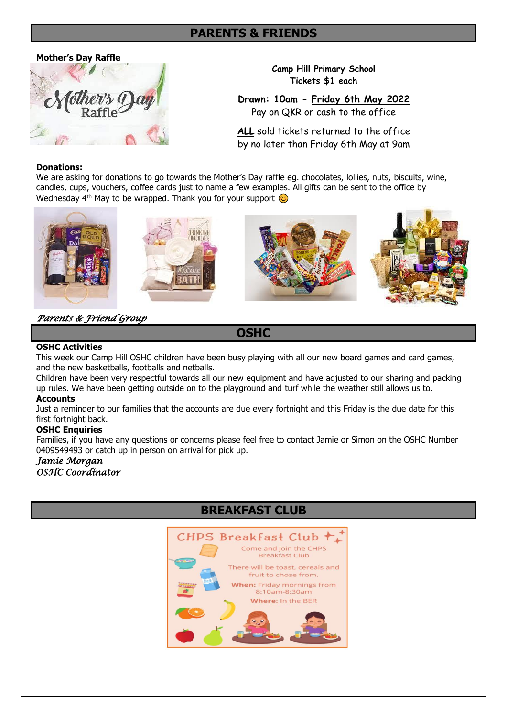# **PARENTS & FRIENDS**

#### **Mother's Day Raffle**



**Camp Hill Primary School Tickets \$1 each**

**Drawn: 10am - Friday 6th May 2022** Pay on QKR or cash to the office

**ALL** sold tickets returned to the office by no later than Friday 6th May at 9am

#### **Donations:**

We are asking for donations to go towards the Mother's Day raffle eg. chocolates, lollies, nuts, biscuits, wine, candles, cups, vouchers, coffee cards just to name a few examples. All gifts can be sent to the office by Wednesday 4<sup>th</sup> May to be wrapped. Thank you for your support  $\odot$ 









# *Parents & Friend Group*

# **OSHC**

#### **OSHC Activities**

This week our Camp Hill OSHC children have been busy playing with all our new board games and card games, and the new basketballs, footballs and netballs.

Children have been very respectful towards all our new equipment and have adjusted to our sharing and packing up rules. We have been getting outside on to the playground and turf while the weather still allows us to.

### **Accounts**

Just a reminder to our families that the accounts are due every fortnight and this Friday is the due date for this first fortnight back.

#### **OSHC Enquiries**

Families, if you have any questions or concerns please feel free to contact Jamie or Simon on the OSHC Number 0409549493 or catch up in person on arrival for pick up.

# *Jamie Morgan*

*OSHC Coordinator* 



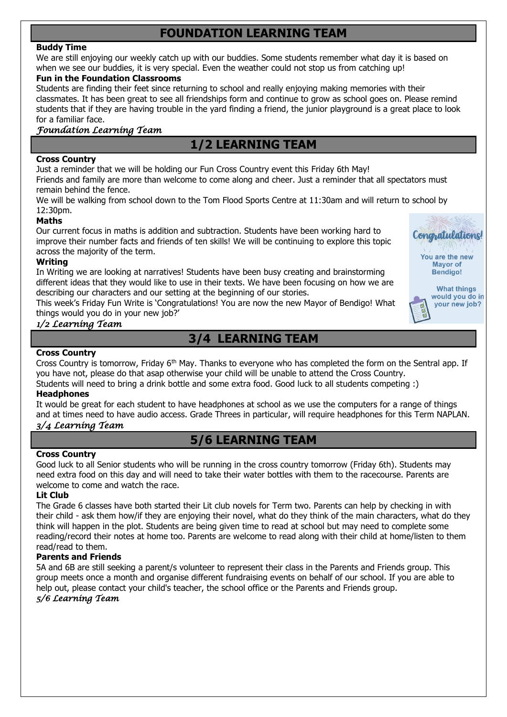# **FOUNDATION LEARNING TEAM**

#### **Buddy Time**

We are still enjoying our weekly catch up with our buddies. Some students remember what day it is based on when we see our buddies, it is very special. Even the weather could not stop us from catching up!

### **Fun in the Foundation Classrooms**

Students are finding their feet since returning to school and really enjoying making memories with their classmates. It has been great to see all friendships form and continue to grow as school goes on. Please remind students that if they are having trouble in the yard finding a friend, the junior playground is a great place to look for a familiar face.

# *Foundation Learning Team*

# **1/2 LEARNING TEAM**

### **Cross Country**

Just a reminder that we will be holding our Fun Cross Country event this Friday 6th May!

Friends and family are more than welcome to come along and cheer. Just a reminder that all spectators must remain behind the fence.

We will be walking from school down to the Tom Flood Sports Centre at 11:30am and will return to school by 12:30pm.

### **Maths**

Our current focus in maths is addition and subtraction. Students have been working hard to improve their number facts and friends of ten skills! We will be continuing to explore this topic across the majority of the term.

# **Writing**

In Writing we are looking at narratives! Students have been busy creating and brainstorming different ideas that they would like to use in their texts. We have been focusing on how we are describing our characters and our setting at the beginning of our stories.

This week's Friday Fun Write is 'Congratulations! You are now the new Mayor of Bendigo! What things would you do in your new job?'

# *1/2 Learning Team*

# **3/4 LEARNING TEAM**

### **Cross Country**

Cross Country is tomorrow, Friday  $6<sup>th</sup>$  May. Thanks to everyone who has completed the form on the Sentral app. If you have not, please do that asap otherwise your child will be unable to attend the Cross Country. Students will need to bring a drink bottle and some extra food. Good luck to all students competing :)

### **Headphones**

It would be great for each student to have headphones at school as we use the computers for a range of things and at times need to have audio access. Grade Threes in particular, will require headphones for this Term NAPLAN.

# *3/4 Learning Team*

# **5/6 LEARNING TEAM**

### **Cross Country**

Good luck to all Senior students who will be running in the cross country tomorrow (Friday 6th). Students may need extra food on this day and will need to take their water bottles with them to the racecourse. Parents are welcome to come and watch the race.

### **Lit Club**

The Grade 6 classes have both started their Lit club novels for Term two. Parents can help by checking in with their child - ask them how/if they are enjoying their novel, what do they think of the main characters, what do they think will happen in the plot. Students are being given time to read at school but may need to complete some reading/record their notes at home too. Parents are welcome to read along with their child at home/listen to them read/read to them.

### **Parents and Friends**

5A and 6B are still seeking a parent/s volunteer to represent their class in the Parents and Friends group. This group meets once a month and organise different fundraising events on behalf of our school. If you are able to help out, please contact your child's teacher, the school office or the Parents and Friends group. *5/6 Learning Team* 



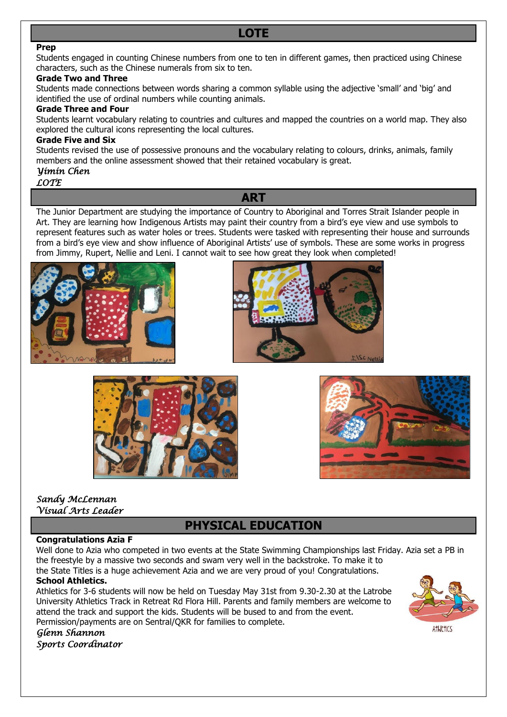

#### **Prep**

Students engaged in counting Chinese numbers from one to ten in different games, then practiced using Chinese characters, such as the Chinese numerals from six to ten.

#### **Grade Two and Three**

Students made connections between words sharing a common syllable using the adjective 'small' and 'big' and identified the use of ordinal numbers while counting animals.

### **Grade Three and Four**

Students learnt vocabulary relating to countries and cultures and mapped the countries on a world map. They also explored the cultural icons representing the local cultures.

### **Grade Five and Six**

Students revised the use of possessive pronouns and the vocabulary relating to colours, drinks, animals, family members and the online assessment showed that their retained vocabulary is great.

### *Yimin Chen*

*LOTE* 

# **ART**

The Junior Department are studying the importance of Country to Aboriginal and Torres Strait Islander people in Art. They are learning how Indigenous Artists may paint their country from a bird's eye view and use symbols to represent features such as water holes or trees. Students were tasked with representing their house and surrounds from a bird's eye view and show influence of Aboriginal Artists' use of symbols. These are some works in progress from Jimmy, Rupert, Nellie and Leni. I cannot wait to see how great they look when completed!









# *Sandy McLennan Visual Arts Leader*

# **PHYSICAL EDUCATION**

### **Congratulations Azia F**

Well done to Azia who competed in two events at the State Swimming Championships last Friday. Azia set a PB in the freestyle by a massive two seconds and swam very well in the backstroke. To make it to

the State Titles is a huge achievement Azia and we are very proud of you! Congratulations. **School Athletics.**

Athletics for 3-6 students will now be held on Tuesday May 31st from 9.30-2.30 at the Latrobe University Athletics Track in Retreat Rd Flora Hill. Parents and family members are welcome to attend the track and support the kids. Students will be bused to and from the event. Permission/payments are on Sentral/QKR for families to complete.

### *Glenn Shannon*

*Sports Coordinator* 

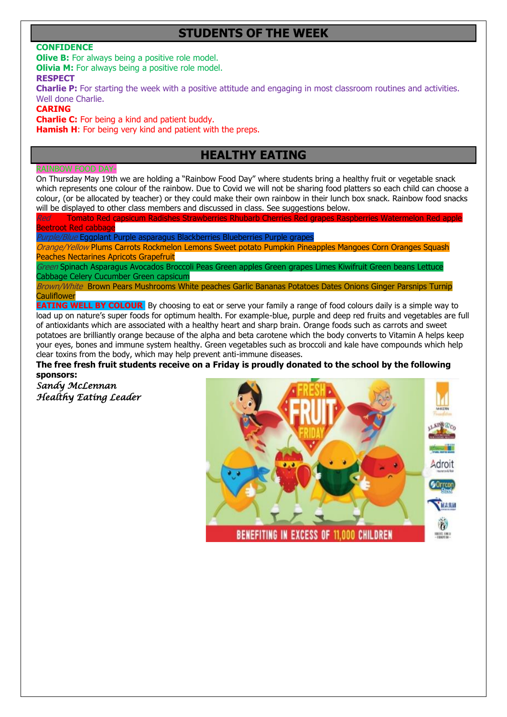# **STUDENTS OF THE WEEK**

### **CONFIDENCE**

**Olive B:** For always being a positive role model. **Olivia M:** For always being a positive role model. **RESPECT**

**Charlie P:** For starting the week with a positive attitude and engaging in most classroom routines and activities. Well done Charlie.

### **CARING**

**Charlie C:** For being a kind and patient buddy.

**Hamish H**: For being very kind and patient with the preps.

# **HEALTHY EATING**

On Thursday May 19th we are holding a "Rainbow Food Day" where students bring a healthy fruit or vegetable snack which represents one colour of the rainbow. Due to Covid we will not be sharing food platters so each child can choose a colour, (or be allocated by teacher) or they could make their own rainbow in their lunch box snack. Rainbow food snacks will be displayed to other class members and discussed in class. See suggestions below.

Red Tomato Red capsicum Radishes Strawberries Rhubarb Cherries Red grapes Raspberries Watermelon Red apple eetroot Red cabbage

rrple/Blue Eggplant Purple asparagus Blackberries Blueberries Purple grapes

Orange/Yellow Plums Carrots Rockmelon Lemons Sweet potato Pumpkin Pineapples Mangoes Corn Oranges Squash Peaches Nectarines Apricots Grapefruit

Green Spinach Asparagus Avocados Broccoli Peas Green apples Green grapes Limes Kiwifruit Green beans Lettuce Cabbage Celery Cucumber Green capsicum

Brown/White Brown Pears Mushrooms White peaches Garlic Bananas Potatoes Dates Onions Ginger Parsnips Turnip **Cauliflower** 

**EATING WELL BY COLOUR** By choosing to eat or serve your family a range of food colours daily is a simple way to load up on nature's super foods for optimum health. For example-blue, purple and deep red fruits and vegetables are full of antioxidants which are associated with a healthy heart and sharp brain. Orange foods such as carrots and sweet potatoes are brilliantly orange because of the alpha and beta carotene which the body converts to Vitamin A helps keep your eyes, bones and immune system healthy. Green vegetables such as broccoli and kale have compounds which help clear toxins from the body, which may help prevent anti-immune diseases.

**The free fresh fruit students receive on a Friday is proudly donated to the school by the following sponsors:**

*Sandy McLennan Healthy Eating Leader* 

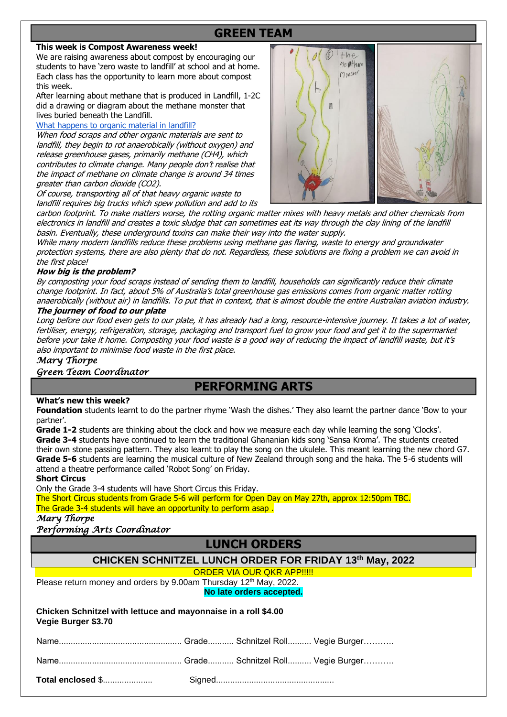# **GREEN TEAM**

#### **This week is Compost Awareness week!**

We are raising awareness about compost by encouraging our students to have 'zero waste to landfill' at school and at home. Each class has the opportunity to learn more about compost this week.

After learning about methane that is produced in Landfill, 1-2C did a drawing or diagram about the methane monster that lives buried beneath the Landfill.

#### [What happens to organic material in](https://compostrevolution.com.au/about/why-compost/) landfill?

When food scraps and other organic materials are sent to landfill, they begin to rot anaerobically (without oxygen) and release greenhouse gases, primarily methane (CH4), which contributes to climate change. Many people don't realise that the impact of methane on climate change is around 34 times greater than carbon dioxide (CO2).

Of course, transporting all of that heavy organic waste to landfill requires big trucks which spew pollution and add to its



carbon footprint. To make matters worse, the rotting organic matter mixes with heavy metals and other chemicals from electronics in landfill and creates a toxic sludge that can sometimes eat its way through the clay lining of the landfill basin. Eventually, these underground toxins can make their way into the water supply.

While many modern landfills reduce these problems using methane gas flaring, waste to energy and groundwater protection systems, there are also plenty that do not. Regardless, these solutions are fixing a problem we can avoid in the first place!

#### **How big is the problem?**

By composting your food scraps instead of sending them to landfill, households can significantly reduce their climate change footprint. In fact, about 5% of Australia's total greenhouse gas emissions comes from organic matter rotting anaerobically (without air) in landfills. To put that in context, that is almost double the entire Australian aviation industry.

#### **The journey of food to our plate**

Long before our food even gets to our plate, it has already had a long, resource-intensive journey. It takes a lot of water, fertiliser, energy, refrigeration, storage, packaging and transport fuel to grow your food and get it to the supermarket before your take it home. Composting your food waste is a good way of reducing the impact of landfill waste, but it's also important to minimise food waste in the first place.

### *Mary Thorpe*

### *Green Team Coordinator*

# **PERFORMING ARTS**

#### **What's new this week?**

**Foundation** students learnt to do the partner rhyme 'Wash the dishes.' They also learnt the partner dance 'Bow to your partner'.

**Grade 1-2** students are thinking about the clock and how we measure each day while learning the song 'Clocks'. **Grade 3-4** students have continued to learn the traditional Ghananian kids song 'Sansa Kroma'. The students created their own stone passing pattern. They also learnt to play the song on the ukulele. This meant learning the new chord G7. **Grade 5-6** students are learning the musical culture of New Zealand through song and the haka. The 5-6 students will attend a theatre performance called 'Robot Song' on Friday.

#### **Short Circus**

Only the Grade 3-4 students will have Short Circus this Friday. The Short Circus students from Grade 5-6 will perform for Open Day on May 27th, approx 12:50pm TBC. The Grade 3-4 students will have an opportunity to perform asap .

*Mary Thorpe* 

*Performing Arts Coordinator* 

# **LUNCH ORDERS**

ORDER VIA OUR QKR APP!!!!!

Please return money and orders by 9.00am Thursday 12<sup>th</sup> May, 2022.

#### **No late orders accepted.**

| Chicken Schnitzel with lettuce and mayonnaise in a roll \$4.00 |  |
|----------------------------------------------------------------|--|
| <b>Vegie Burger \$3.70</b>                                     |  |